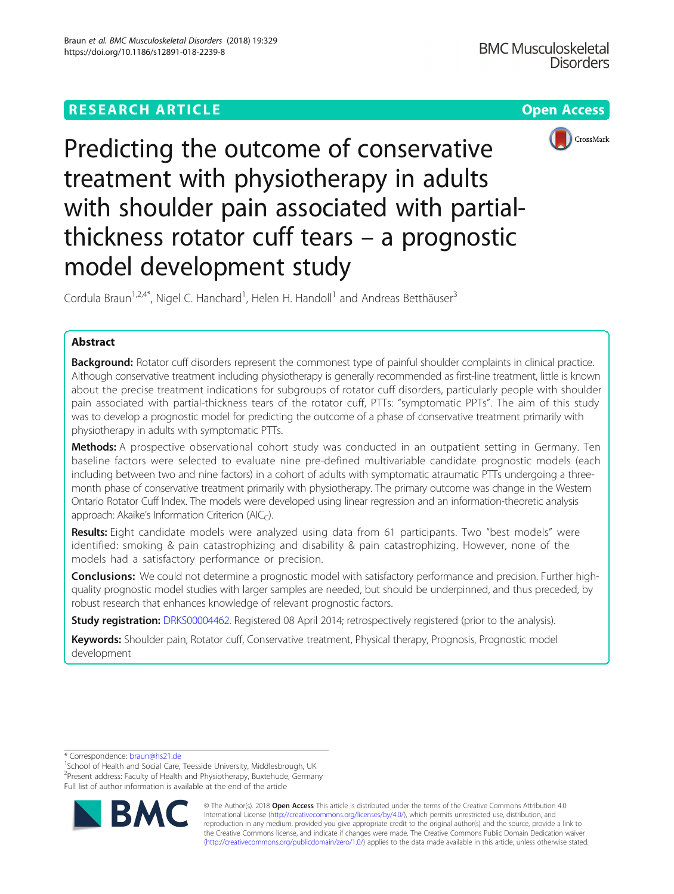# **RESEARCH ARTICLE Example 2014 12:30 The Contract of Contract ACCESS**



Predicting the outcome of conservative treatment with physiotherapy in adults with shoulder pain associated with partialthickness rotator cuff tears – a prognostic model development study

Cordula Braun<sup>1,2,4\*</sup>, Nigel C. Hanchard<sup>1</sup>, Helen H. Handoll<sup>1</sup> and Andreas Betthäuser<sup>3</sup>

## Abstract

Background: Rotator cuff disorders represent the commonest type of painful shoulder complaints in clinical practice. Although conservative treatment including physiotherapy is generally recommended as first-line treatment, little is known about the precise treatment indications for subgroups of rotator cuff disorders, particularly people with shoulder pain associated with partial-thickness tears of the rotator cuff, PTTs: "symptomatic PPTs". The aim of this study was to develop a prognostic model for predicting the outcome of a phase of conservative treatment primarily with physiotherapy in adults with symptomatic PTTs.

Methods: A prospective observational cohort study was conducted in an outpatient setting in Germany. Ten baseline factors were selected to evaluate nine pre-defined multivariable candidate prognostic models (each including between two and nine factors) in a cohort of adults with symptomatic atraumatic PTTs undergoing a threemonth phase of conservative treatment primarily with physiotherapy. The primary outcome was change in the Western Ontario Rotator Cuff Index. The models were developed using linear regression and an information-theoretic analysis approach: Akaike's Information Criterion (AIC $<sub>c</sub>$ ).</sub>

Results: Eight candidate models were analyzed using data from 61 participants. Two "best models" were identified: smoking & pain catastrophizing and disability & pain catastrophizing. However, none of the models had a satisfactory performance or precision.

Conclusions: We could not determine a prognostic model with satisfactory performance and precision. Further highquality prognostic model studies with larger samples are needed, but should be underpinned, and thus preceded, by robust research that enhances knowledge of relevant prognostic factors.

**Study registration:** [DRKS00004462.](http://apps.who.int/trialsearch/Trial2.aspx?TrialID=DRKS00004462) Registered 08 April 2014; retrospectively registered (prior to the analysis).

Keywords: Shoulder pain, Rotator cuff, Conservative treatment, Physical therapy, Prognosis, Prognostic model development

\* Correspondence: [braun@hs21.de](mailto:braun@hs21.de) <sup>1</sup>

<sup>1</sup>School of Health and Social Care, Teesside University, Middlesbrough, UK <sup>2</sup> Present address: Faculty of Health and Physiotherapy, Buxtehude, Germany Full list of author information is available at the end of the article



© The Author(s). 2018 Open Access This article is distributed under the terms of the Creative Commons Attribution 4.0 International License [\(http://creativecommons.org/licenses/by/4.0/](http://creativecommons.org/licenses/by/4.0/)), which permits unrestricted use, distribution, and reproduction in any medium, provided you give appropriate credit to the original author(s) and the source, provide a link to the Creative Commons license, and indicate if changes were made. The Creative Commons Public Domain Dedication waiver [\(http://creativecommons.org/publicdomain/zero/1.0/](http://creativecommons.org/publicdomain/zero/1.0/)) applies to the data made available in this article, unless otherwise stated.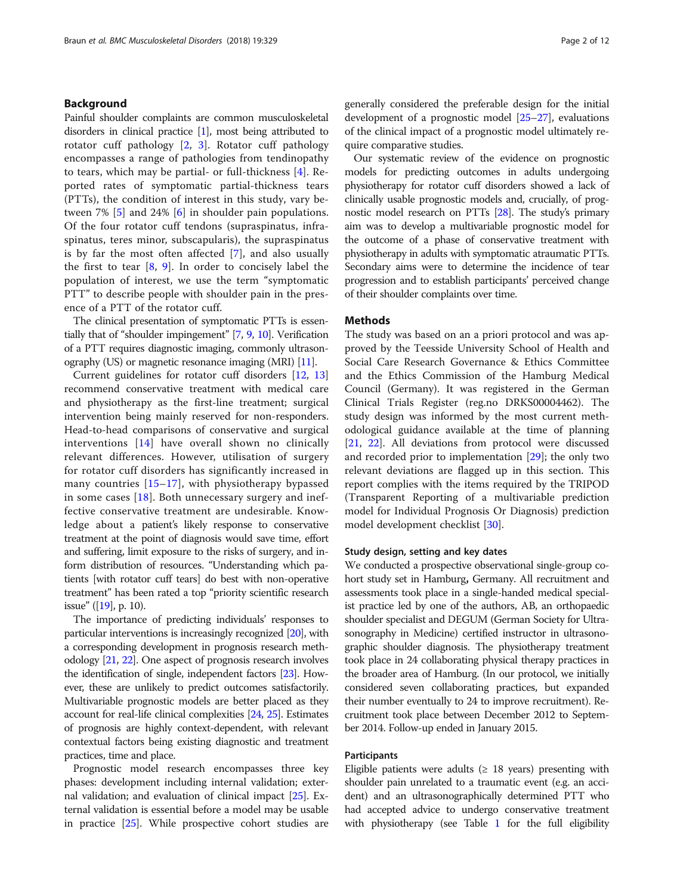## Background

Painful shoulder complaints are common musculoskeletal disorders in clinical practice [\[1](#page-10-0)], most being attributed to rotator cuff pathology  $[2, 3]$  $[2, 3]$  $[2, 3]$  $[2, 3]$ . Rotator cuff pathology encompasses a range of pathologies from tendinopathy to tears, which may be partial- or full-thickness [[4\]](#page-10-0). Reported rates of symptomatic partial-thickness tears (PTTs), the condition of interest in this study, vary between 7% [[5\]](#page-10-0) and 24% [\[6](#page-10-0)] in shoulder pain populations. Of the four rotator cuff tendons (supraspinatus, infraspinatus, teres minor, subscapularis), the supraspinatus is by far the most often affected [\[7](#page-10-0)], and also usually the first to tear  $[8, 9]$  $[8, 9]$  $[8, 9]$  $[8, 9]$  $[8, 9]$ . In order to concisely label the population of interest, we use the term "symptomatic PTT" to describe people with shoulder pain in the presence of a PTT of the rotator cuff.

The clinical presentation of symptomatic PTTs is essentially that of "shoulder impingement" [\[7](#page-10-0), [9,](#page-10-0) [10\]](#page-10-0). Verification of a PTT requires diagnostic imaging, commonly ultrasonography (US) or magnetic resonance imaging (MRI) [\[11](#page-10-0)].

Current guidelines for rotator cuff disorders [\[12,](#page-10-0) [13](#page-10-0)] recommend conservative treatment with medical care and physiotherapy as the first-line treatment; surgical intervention being mainly reserved for non-responders. Head-to-head comparisons of conservative and surgical interventions [[14\]](#page-10-0) have overall shown no clinically relevant differences. However, utilisation of surgery for rotator cuff disorders has significantly increased in many countries  $[15–17]$  $[15–17]$  $[15–17]$  $[15–17]$  $[15–17]$ , with physiotherapy bypassed in some cases [\[18\]](#page-10-0). Both unnecessary surgery and ineffective conservative treatment are undesirable. Knowledge about a patient's likely response to conservative treatment at the point of diagnosis would save time, effort and suffering, limit exposure to the risks of surgery, and inform distribution of resources. "Understanding which patients [with rotator cuff tears] do best with non-operative treatment" has been rated a top "priority scientific research issue" ([[19](#page-10-0)], p. 10).

The importance of predicting individuals' responses to particular interventions is increasingly recognized [\[20\]](#page-10-0), with a corresponding development in prognosis research methodology [\[21,](#page-10-0) [22](#page-10-0)]. One aspect of prognosis research involves the identification of single, independent factors [\[23\]](#page-11-0). However, these are unlikely to predict outcomes satisfactorily. Multivariable prognostic models are better placed as they account for real-life clinical complexities [[24](#page-11-0), [25](#page-11-0)]. Estimates of prognosis are highly context-dependent, with relevant contextual factors being existing diagnostic and treatment practices, time and place.

Prognostic model research encompasses three key phases: development including internal validation; external validation; and evaluation of clinical impact [\[25\]](#page-11-0). External validation is essential before a model may be usable in practice [[25](#page-11-0)]. While prospective cohort studies are generally considered the preferable design for the initial development of a prognostic model [\[25](#page-11-0)–[27](#page-11-0)], evaluations of the clinical impact of a prognostic model ultimately require comparative studies.

Our systematic review of the evidence on prognostic models for predicting outcomes in adults undergoing physiotherapy for rotator cuff disorders showed a lack of clinically usable prognostic models and, crucially, of prognostic model research on PTTs [[28](#page-11-0)]. The study's primary aim was to develop a multivariable prognostic model for the outcome of a phase of conservative treatment with physiotherapy in adults with symptomatic atraumatic PTTs. Secondary aims were to determine the incidence of tear progression and to establish participants' perceived change of their shoulder complaints over time.

## **Methods**

The study was based on an a priori protocol and was approved by the Teesside University School of Health and Social Care Research Governance & Ethics Committee and the Ethics Commission of the Hamburg Medical Council (Germany). It was registered in the German Clinical Trials Register (reg.no DRKS00004462). The study design was informed by the most current methodological guidance available at the time of planning [[21,](#page-10-0) [22](#page-10-0)]. All deviations from protocol were discussed and recorded prior to implementation [\[29](#page-11-0)]; the only two relevant deviations are flagged up in this section. This report complies with the items required by the TRIPOD (Transparent Reporting of a multivariable prediction model for Individual Prognosis Or Diagnosis) prediction model development checklist [\[30](#page-11-0)].

#### Study design, setting and key dates

We conducted a prospective observational single-group cohort study set in Hamburg, Germany. All recruitment and assessments took place in a single-handed medical specialist practice led by one of the authors, AB, an orthopaedic shoulder specialist and DEGUM (German Society for Ultrasonography in Medicine) certified instructor in ultrasonographic shoulder diagnosis. The physiotherapy treatment took place in 24 collaborating physical therapy practices in the broader area of Hamburg. (In our protocol, we initially considered seven collaborating practices, but expanded their number eventually to 24 to improve recruitment). Recruitment took place between December 2012 to September 2014. Follow-up ended in January 2015.

#### **Participants**

Eligible patients were adults ( $\geq$  18 years) presenting with shoulder pain unrelated to a traumatic event (e.g. an accident) and an ultrasonographically determined PTT who had accepted advice to undergo conservative treatment with physiotherapy (see Table [1](#page-2-0) for the full eligibility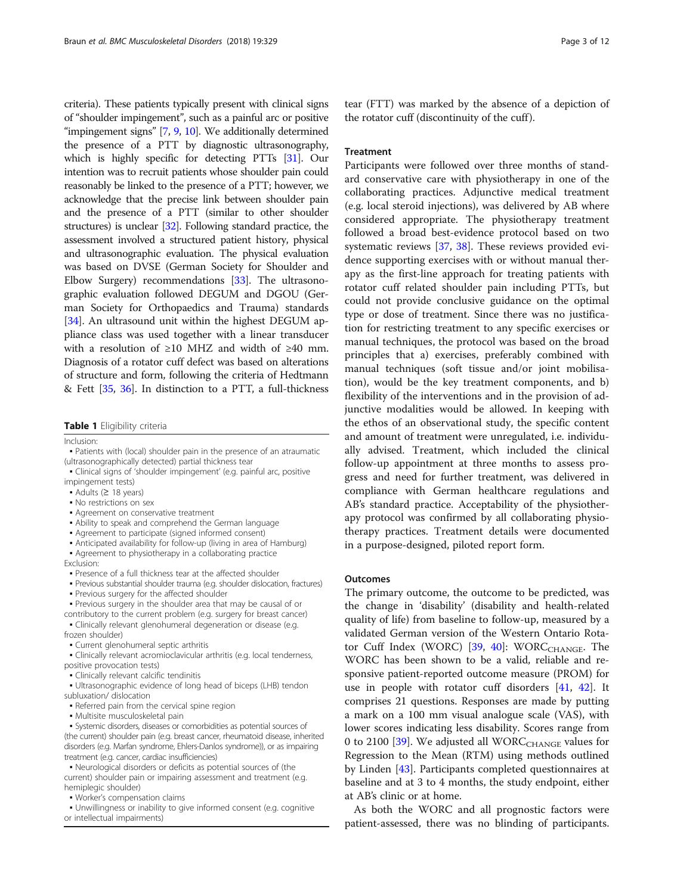<span id="page-2-0"></span>criteria). These patients typically present with clinical signs of "shoulder impingement", such as a painful arc or positive "impingement signs" [\[7,](#page-10-0) [9](#page-10-0), [10\]](#page-10-0). We additionally determined the presence of a PTT by diagnostic ultrasonography, which is highly specific for detecting PTTs [[31\]](#page-11-0). Our intention was to recruit patients whose shoulder pain could reasonably be linked to the presence of a PTT; however, we acknowledge that the precise link between shoulder pain and the presence of a PTT (similar to other shoulder structures) is unclear [\[32](#page-11-0)]. Following standard practice, the assessment involved a structured patient history, physical and ultrasonographic evaluation. The physical evaluation was based on DVSE (German Society for Shoulder and Elbow Surgery) recommendations [\[33\]](#page-11-0). The ultrasonographic evaluation followed DEGUM and DGOU (German Society for Orthopaedics and Trauma) standards [[34](#page-11-0)]. An ultrasound unit within the highest DEGUM appliance class was used together with a linear transducer with a resolution of ≥10 MHZ and width of ≥40 mm. Diagnosis of a rotator cuff defect was based on alterations of structure and form, following the criteria of Hedtmann & Fett [[35](#page-11-0), [36\]](#page-11-0). In distinction to a PTT, a full-thickness

Table 1 Eligibility criteria

Inclusion:

- Patients with (local) shoulder pain in the presence of an atraumatic (ultrasonographically detected) partial thickness tear
- Clinical signs of 'shoulder impingement' (e.g. painful arc, positive impingement tests)
- Adults (≥ 18 years)
- No restrictions on sex
- Agreement on conservative treatment
- Ability to speak and comprehend the German language
- Agreement to participate (signed informed consent)
- Anticipated availability for follow-up (living in area of Hamburg)
- Agreement to physiotherapy in a collaborating practice

Exclusion:

- Presence of a full thickness tear at the affected shoulder
- Previous substantial shoulder trauma (e.g. shoulder dislocation, fractures)
- Previous surgery for the affected shoulder
- Previous surgery in the shoulder area that may be causal of or contributory to the current problem (e.g. surgery for breast cancer)
- Clinically relevant glenohumeral degeneration or disease (e.g. frozen shoulder)
- Current glenohumeral septic arthritis
- Clinically relevant acromioclavicular arthritis (e.g. local tenderness, positive provocation tests)
- Clinically relevant calcific tendinitis
- Ultrasonographic evidence of long head of biceps (LHB) tendon subluxation/ dislocation
- Referred pain from the cervical spine region
- Multisite musculoskeletal pain
- Systemic disorders, diseases or comorbidities as potential sources of (the current) shoulder pain (e.g. breast cancer, rheumatoid disease, inherited disorders (e.g. Marfan syndrome, Ehlers-Danlos syndrome)), or as impairing treatment (e.g. cancer, cardiac insufficiencies)
- Neurological disorders or deficits as potential sources of (the current) shoulder pain or impairing assessment and treatment (e.g. hemiplegic shoulder)
- Worker's compensation claims
- Unwillingness or inability to give informed consent (e.g. cognitive or intellectual impairments)

tear (FTT) was marked by the absence of a depiction of the rotator cuff (discontinuity of the cuff ).

#### **Treatment**

Participants were followed over three months of standard conservative care with physiotherapy in one of the collaborating practices. Adjunctive medical treatment (e.g. local steroid injections), was delivered by AB where considered appropriate. The physiotherapy treatment followed a broad best-evidence protocol based on two systematic reviews [[37](#page-11-0), [38](#page-11-0)]. These reviews provided evidence supporting exercises with or without manual therapy as the first-line approach for treating patients with rotator cuff related shoulder pain including PTTs, but could not provide conclusive guidance on the optimal type or dose of treatment. Since there was no justification for restricting treatment to any specific exercises or manual techniques, the protocol was based on the broad principles that a) exercises, preferably combined with manual techniques (soft tissue and/or joint mobilisation), would be the key treatment components, and b) flexibility of the interventions and in the provision of adjunctive modalities would be allowed. In keeping with the ethos of an observational study, the specific content and amount of treatment were unregulated, i.e. individually advised. Treatment, which included the clinical follow-up appointment at three months to assess progress and need for further treatment, was delivered in compliance with German healthcare regulations and AB's standard practice. Acceptability of the physiotherapy protocol was confirmed by all collaborating physiotherapy practices. Treatment details were documented in a purpose-designed, piloted report form.

#### **Outcomes**

The primary outcome, the outcome to be predicted, was the change in 'disability' (disability and health-related quality of life) from baseline to follow-up, measured by a validated German version of the Western Ontario Rota-tor Cuff Index (WORC) [[39,](#page-11-0)  $40$ ]: WORC<sub>CHANGE</sub>. The WORC has been shown to be a valid, reliable and responsive patient-reported outcome measure (PROM) for use in people with rotator cuff disorders [\[41,](#page-11-0) [42](#page-11-0)]. It comprises 21 questions. Responses are made by putting a mark on a 100 mm visual analogue scale (VAS), with lower scores indicating less disability. Scores range from 0 to 2100 [[39\]](#page-11-0). We adjusted all WORC<sub>CHANGE</sub> values for Regression to the Mean (RTM) using methods outlined by Linden [[43](#page-11-0)]. Participants completed questionnaires at baseline and at 3 to 4 months, the study endpoint, either at AB's clinic or at home.

As both the WORC and all prognostic factors were patient-assessed, there was no blinding of participants.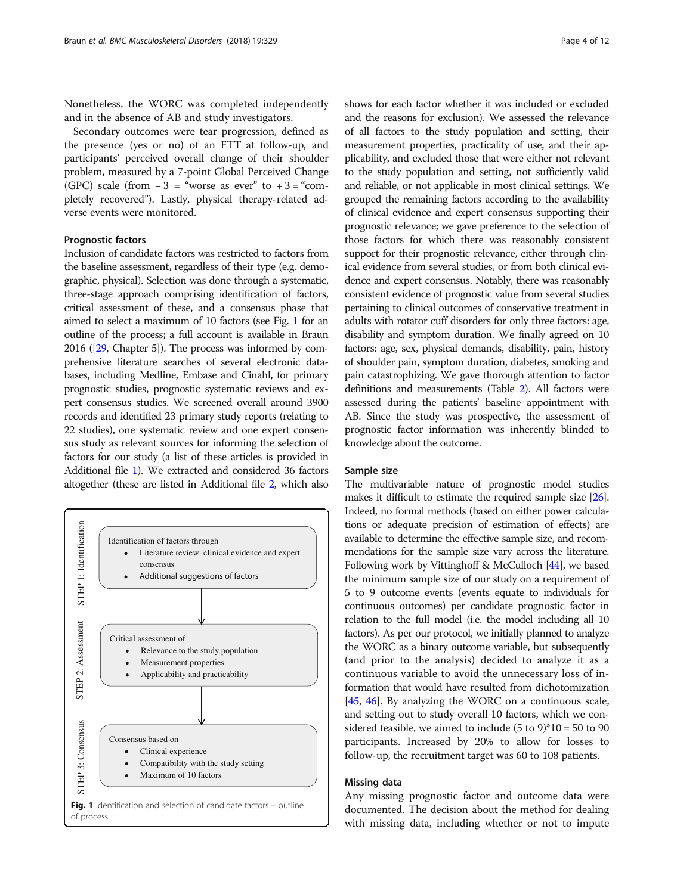Nonetheless, the WORC was completed independently and in the absence of AB and study investigators.

Secondary outcomes were tear progression, defined as the presence (yes or no) of an FTT at follow-up, and participants' perceived overall change of their shoulder problem, measured by a 7-point Global Perceived Change (GPC) scale (from  $-3 =$  "worse as ever" to  $+3 =$  "completely recovered"). Lastly, physical therapy-related adverse events were monitored.

## Prognostic factors

Inclusion of candidate factors was restricted to factors from the baseline assessment, regardless of their type (e.g. demographic, physical). Selection was done through a systematic, three-stage approach comprising identification of factors, critical assessment of these, and a consensus phase that aimed to select a maximum of 10 factors (see Fig. 1 for an outline of the process; a full account is available in Braun 2016 ([[29](#page-11-0), Chapter 5]). The process was informed by comprehensive literature searches of several electronic databases, including Medline, Embase and Cinahl, for primary prognostic studies, prognostic systematic reviews and expert consensus studies. We screened overall around 3900 records and identified 23 primary study reports (relating to 22 studies), one systematic review and one expert consensus study as relevant sources for informing the selection of factors for our study (a list of these articles is provided in Additional file [1\)](#page-9-0). We extracted and considered 36 factors altogether (these are listed in Additional file [2](#page-9-0), which also



shows for each factor whether it was included or excluded and the reasons for exclusion). We assessed the relevance of all factors to the study population and setting, their measurement properties, practicality of use, and their applicability, and excluded those that were either not relevant to the study population and setting, not sufficiently valid and reliable, or not applicable in most clinical settings. We grouped the remaining factors according to the availability of clinical evidence and expert consensus supporting their prognostic relevance; we gave preference to the selection of those factors for which there was reasonably consistent support for their prognostic relevance, either through clinical evidence from several studies, or from both clinical evidence and expert consensus. Notably, there was reasonably consistent evidence of prognostic value from several studies pertaining to clinical outcomes of conservative treatment in adults with rotator cuff disorders for only three factors: age, disability and symptom duration. We finally agreed on 10 factors: age, sex, physical demands, disability, pain, history of shoulder pain, symptom duration, diabetes, smoking and pain catastrophizing. We gave thorough attention to factor definitions and measurements (Table [2\)](#page-4-0). All factors were assessed during the patients' baseline appointment with AB. Since the study was prospective, the assessment of prognostic factor information was inherently blinded to knowledge about the outcome.

#### Sample size

The multivariable nature of prognostic model studies makes it difficult to estimate the required sample size [\[26](#page-11-0)]. Indeed, no formal methods (based on either power calculations or adequate precision of estimation of effects) are available to determine the effective sample size, and recommendations for the sample size vary across the literature. Following work by Vittinghoff & McCulloch [\[44\]](#page-11-0), we based the minimum sample size of our study on a requirement of 5 to 9 outcome events (events equate to individuals for continuous outcomes) per candidate prognostic factor in relation to the full model (i.e. the model including all 10 factors). As per our protocol, we initially planned to analyze the WORC as a binary outcome variable, but subsequently (and prior to the analysis) decided to analyze it as a continuous variable to avoid the unnecessary loss of information that would have resulted from dichotomization [[45](#page-11-0), [46\]](#page-11-0). By analyzing the WORC on a continuous scale, and setting out to study overall 10 factors, which we considered feasible, we aimed to include  $(5 \text{ to } 9)^*10 = 50 \text{ to } 90$ participants. Increased by 20% to allow for losses to follow-up, the recruitment target was 60 to 108 patients.

#### Missing data

Any missing prognostic factor and outcome data were documented. The decision about the method for dealing with missing data, including whether or not to impute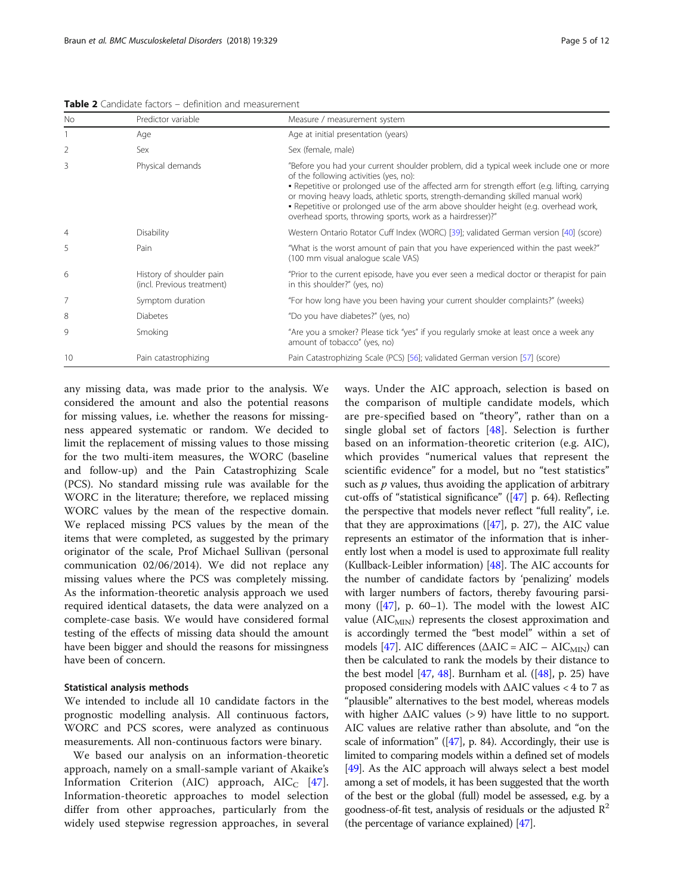<span id="page-4-0"></span>Table 2 Candidate factors – definition and measurement

| <b>No</b>      | Predictor variable                                     | Measure / measurement system                                                                                                                                                                                                                                                                                                                                                                                                                                             |
|----------------|--------------------------------------------------------|--------------------------------------------------------------------------------------------------------------------------------------------------------------------------------------------------------------------------------------------------------------------------------------------------------------------------------------------------------------------------------------------------------------------------------------------------------------------------|
|                | Age                                                    | Age at initial presentation (years)                                                                                                                                                                                                                                                                                                                                                                                                                                      |
| 2              | Sex                                                    | Sex (female, male)                                                                                                                                                                                                                                                                                                                                                                                                                                                       |
| 3              | Physical demands                                       | "Before you had your current shoulder problem, did a typical week include one or more<br>of the following activities (yes, no):<br>• Repetitive or prolonged use of the affected arm for strength effort (e.g. lifting, carrying<br>or moving heavy loads, athletic sports, strength-demanding skilled manual work)<br>. Repetitive or prolonged use of the arm above shoulder height (e.g. overhead work,<br>overhead sports, throwing sports, work as a hairdresser)?" |
| $\overline{4}$ | Disability                                             | Western Ontario Rotator Cuff Index (WORC) [39]; validated German version [40] (score)                                                                                                                                                                                                                                                                                                                                                                                    |
| 5              | Pain                                                   | "What is the worst amount of pain that you have experienced within the past week?"<br>(100 mm visual analogue scale VAS)                                                                                                                                                                                                                                                                                                                                                 |
| 6              | History of shoulder pain<br>(incl. Previous treatment) | "Prior to the current episode, have you ever seen a medical doctor or therapist for pain<br>in this shoulder?" (yes, no)                                                                                                                                                                                                                                                                                                                                                 |
|                | Symptom duration                                       | "For how long have you been having your current shoulder complaints?" (weeks)                                                                                                                                                                                                                                                                                                                                                                                            |
| 8              | <b>Diabetes</b>                                        | "Do you have diabetes?" (yes, no)                                                                                                                                                                                                                                                                                                                                                                                                                                        |
| 9              | Smoking                                                | "Are you a smoker? Please tick "yes" if you regularly smoke at least once a week any<br>amount of tobacco" (yes, no)                                                                                                                                                                                                                                                                                                                                                     |
| 10             | Pain catastrophizing                                   | Pain Catastrophizing Scale (PCS) [56]; validated German version [57] (score)                                                                                                                                                                                                                                                                                                                                                                                             |

any missing data, was made prior to the analysis. We considered the amount and also the potential reasons for missing values, i.e. whether the reasons for missingness appeared systematic or random. We decided to limit the replacement of missing values to those missing for the two multi-item measures, the WORC (baseline and follow-up) and the Pain Catastrophizing Scale (PCS). No standard missing rule was available for the WORC in the literature; therefore, we replaced missing WORC values by the mean of the respective domain. We replaced missing PCS values by the mean of the items that were completed, as suggested by the primary originator of the scale, Prof Michael Sullivan (personal communication 02/06/2014). We did not replace any missing values where the PCS was completely missing. As the information-theoretic analysis approach we used required identical datasets, the data were analyzed on a complete-case basis. We would have considered formal testing of the effects of missing data should the amount have been bigger and should the reasons for missingness have been of concern.

#### Statistical analysis methods

We intended to include all 10 candidate factors in the prognostic modelling analysis. All continuous factors, WORC and PCS scores, were analyzed as continuous measurements. All non-continuous factors were binary.

We based our analysis on an information-theoretic approach, namely on a small-sample variant of Akaike's Information Criterion (AIC) approach,  $AIC_C$  [\[47](#page-11-0)]. Information-theoretic approaches to model selection differ from other approaches, particularly from the widely used stepwise regression approaches, in several ways. Under the AIC approach, selection is based on the comparison of multiple candidate models, which are pre-specified based on "theory", rather than on a single global set of factors [[48\]](#page-11-0). Selection is further based on an information-theoretic criterion (e.g. AIC), which provides "numerical values that represent the scientific evidence" for a model, but no "test statistics" such as  $p$  values, thus avoiding the application of arbitrary cut-offs of "statistical significance" ([\[47](#page-11-0)] p. 64). Reflecting the perspective that models never reflect "full reality", i.e. that they are approximations  $([47], p. 27)$  $([47], p. 27)$  $([47], p. 27)$ , the AIC value represents an estimator of the information that is inherently lost when a model is used to approximate full reality (Kullback-Leibler information) [\[48\]](#page-11-0). The AIC accounts for the number of candidate factors by 'penalizing' models with larger numbers of factors, thereby favouring parsimony  $([47], p. 60-1)$  $([47], p. 60-1)$  $([47], p. 60-1)$ . The model with the lowest AIC value  $(AIC<sub>MIN</sub>)$  represents the closest approximation and is accordingly termed the "best model" within a set of models [[47](#page-11-0)]. AIC differences ( $\triangle AIC = AIC - AIC_{MIN}$ ) can then be calculated to rank the models by their distance to the best model  $[47, 48]$  $[47, 48]$  $[47, 48]$  $[47, 48]$ . Burnham et al.  $([48], p. 25)$  $([48], p. 25)$  $([48], p. 25)$  have proposed considering models with  $\triangle AIC$  values  $\lt 4$  to 7 as "plausible" alternatives to the best model, whereas models with higher  $\triangle$ AIC values (> 9) have little to no support. AIC values are relative rather than absolute, and "on the scale of information"  $([47], p. 84)$  $([47], p. 84)$  $([47], p. 84)$ . Accordingly, their use is limited to comparing models within a defined set of models [[49](#page-11-0)]. As the AIC approach will always select a best model among a set of models, it has been suggested that the worth of the best or the global (full) model be assessed, e.g. by a goodness-of-fit test, analysis of residuals or the adjusted  $\mathbb{R}^2$ (the percentage of variance explained) [\[47](#page-11-0)].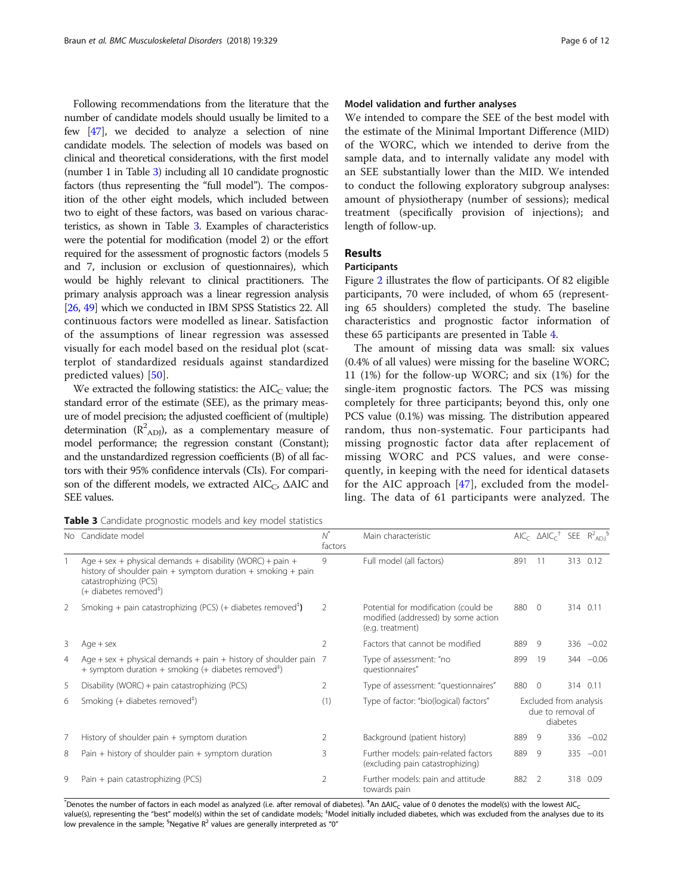<span id="page-5-0"></span>Following recommendations from the literature that the number of candidate models should usually be limited to a few [\[47\]](#page-11-0), we decided to analyze a selection of nine candidate models. The selection of models was based on clinical and theoretical considerations, with the first model (number 1 in Table 3) including all 10 candidate prognostic factors (thus representing the "full model"). The composition of the other eight models, which included between two to eight of these factors, was based on various characteristics, as shown in Table 3. Examples of characteristics were the potential for modification (model 2) or the effort required for the assessment of prognostic factors (models 5 and 7, inclusion or exclusion of questionnaires), which would be highly relevant to clinical practitioners. The primary analysis approach was a linear regression analysis [[26](#page-11-0), [49](#page-11-0)] which we conducted in IBM SPSS Statistics 22. All continuous factors were modelled as linear. Satisfaction of the assumptions of linear regression was assessed visually for each model based on the residual plot (scatterplot of standardized residuals against standardized predicted values) [[50\]](#page-11-0).

We extracted the following statistics: the  $AIC_C$  value; the standard error of the estimate (SEE), as the primary measure of model precision; the adjusted coefficient of (multiple) determination  $(R^{2}_{ADJ})$ , as a complementary measure of model performance; the regression constant (Constant); and the unstandardized regression coefficients (B) of all factors with their 95% confidence intervals (CIs). For comparison of the different models, we extracted  $AIC_C$ ,  $\Delta AIC$  and SEE values.

### Model validation and further analyses

We intended to compare the SEE of the best model with the estimate of the Minimal Important Difference (MID) of the WORC, which we intended to derive from the sample data, and to internally validate any model with an SEE substantially lower than the MID. We intended to conduct the following exploratory subgroup analyses: amount of physiotherapy (number of sessions); medical treatment (specifically provision of injections); and length of follow-up.

## Results

#### Participants

Figure [2](#page-6-0) illustrates the flow of participants. Of 82 eligible participants, 70 were included, of whom 65 (representing 65 shoulders) completed the study. The baseline characteristics and prognostic factor information of these 65 participants are presented in Table [4](#page-7-0).

The amount of missing data was small: six values (0.4% of all values) were missing for the baseline WORC; 11 (1%) for the follow-up WORC; and six (1%) for the single-item prognostic factors. The PCS was missing completely for three participants; beyond this, only one PCS value (0.1%) was missing. The distribution appeared random, thus non-systematic. Four participants had missing prognostic factor data after replacement of missing WORC and PCS values, and were consequently, in keeping with the need for identical datasets for the AIC approach [[47\]](#page-11-0), excluded from the modelling. The data of 61 participants were analyzed. The

Table 3 Candidate prognostic models and key model statistics

|                | No Candidate model                                                                                                                                                                             | $N^*$<br>factors | Main characteristic                                                                             |       | $AIC_C \Delta AIC_C^{\dagger}$ SEE $R^2_{AD1}$ <sup>§</sup> |              |
|----------------|------------------------------------------------------------------------------------------------------------------------------------------------------------------------------------------------|------------------|-------------------------------------------------------------------------------------------------|-------|-------------------------------------------------------------|--------------|
|                | Age + sex + physical demands + disability (WORC) + pain +<br>history of shoulder pain $+$ symptom duration $+$ smoking $+$ pain<br>catastrophizing (PCS)<br>(+ diabetes removed <sup>+</sup> ) | 9                | Full model (all factors)                                                                        | 891   | 11                                                          | 313 0.12     |
| 2              | Smoking + pain catastrophizing (PCS) (+ diabetes removed <sup>#</sup> )                                                                                                                        | $\overline{2}$   | Potential for modification (could be<br>modified (addressed) by some action<br>(e.g. treatment) | 880 0 |                                                             | 314 0.11     |
| 3              | $Age + sex$                                                                                                                                                                                    | 2                | Factors that cannot be modified                                                                 | 889   | 9                                                           | $336 -0.02$  |
| $\overline{4}$ | Age + sex + physical demands + pain + history of shoulder pain $\frac{7}{2}$<br>+ symptom duration + smoking (+ diabetes removed <sup>+</sup> )                                                |                  | Type of assessment: "no<br>questionnaires"                                                      | 899   | 19                                                          | $344 - 0.06$ |
| 5              | Disability (WORC) + pain catastrophizing (PCS)                                                                                                                                                 | 2                | Type of assessment: "questionnaires"                                                            | 880   | $\bigcirc$                                                  | 314 0.11     |
| 6              | Smoking $(+$ diabetes removed <sup>#</sup> )                                                                                                                                                   | (1)              | Type of factor: "bio(logical) factors"                                                          |       | Excluded from analysis<br>due to removal of<br>diabetes     |              |
| 7              | History of shoulder pain $+$ symptom duration                                                                                                                                                  | 2                | Background (patient history)                                                                    | 889   | 9                                                           | $336 -0.02$  |
| 8              | Pain + history of shoulder pain + symptom duration                                                                                                                                             | 3                | Further models: pain-related factors<br>(excluding pain catastrophizing)                        | 889   | 9                                                           | $335 - 0.01$ |
| 9              | Pain + pain catastrophizing (PCS)                                                                                                                                                              | 2                | Further models: pain and attitude<br>towards pain                                               | 882   | $\mathcal{P}$                                               | 318 0.09     |

\*Denotes the number of factors in each model as analyzed (i.e. after removal of diabetes). \*An ΔAIC<sub>C</sub> value of 0 denotes the model(s) with the lowest AIC<sub>C</sub> value(s), representing the "best" model(s) within the set of candidate models; <sup>‡</sup>Model initially included diabetes, which was excluded from the analyses due to its low prevalence in the sample;  ${}^{5}$ Negative R<sup>2</sup> values are generally interpreted as "0"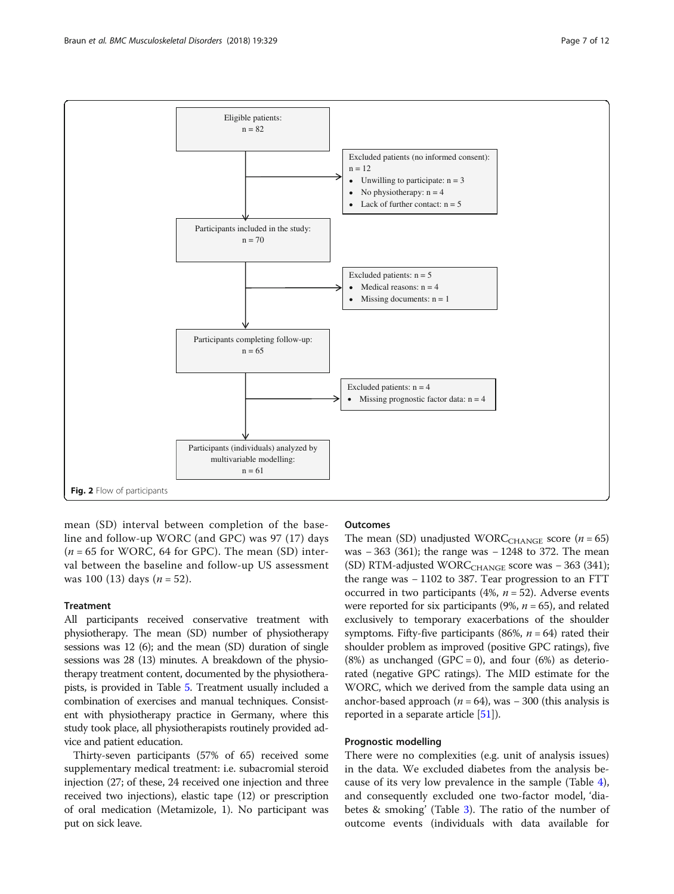<span id="page-6-0"></span>

mean (SD) interval between completion of the baseline and follow-up WORC (and GPC) was 97 (17) days  $(n = 65$  for WORC, 64 for GPC). The mean (SD) interval between the baseline and follow-up US assessment was 100 (13) days  $(n = 52)$ .

## Treatment

All participants received conservative treatment with physiotherapy. The mean (SD) number of physiotherapy sessions was 12 (6); and the mean (SD) duration of single sessions was 28 (13) minutes. A breakdown of the physiotherapy treatment content, documented by the physiotherapists, is provided in Table [5.](#page-8-0) Treatment usually included a combination of exercises and manual techniques. Consistent with physiotherapy practice in Germany, where this study took place, all physiotherapists routinely provided advice and patient education.

Thirty-seven participants (57% of 65) received some supplementary medical treatment: i.e. subacromial steroid injection (27; of these, 24 received one injection and three received two injections), elastic tape (12) or prescription of oral medication (Metamizole, 1). No participant was put on sick leave.

#### **Outcomes**

The mean (SD) unadjusted WORC<sub>CHANGE</sub> score ( $n = 65$ ) was − 363 (361); the range was − 1248 to 372. The mean (SD) RTM-adjusted WORC<sub>CHANGE</sub> score was - 363 (341); the range was − 1102 to 387. Tear progression to an FTT occurred in two participants (4%,  $n = 52$ ). Adverse events were reported for six participants (9%,  $n = 65$ ), and related exclusively to temporary exacerbations of the shoulder symptoms. Fifty-five participants (86%,  $n = 64$ ) rated their shoulder problem as improved (positive GPC ratings), five (8%) as unchanged (GPC = 0), and four (6%) as deteriorated (negative GPC ratings). The MID estimate for the WORC, which we derived from the sample data using an anchor-based approach ( $n = 64$ ), was  $-300$  (this analysis is reported in a separate article [[51](#page-11-0)]).

#### Prognostic modelling

There were no complexities (e.g. unit of analysis issues) in the data. We excluded diabetes from the analysis because of its very low prevalence in the sample (Table [4](#page-7-0)), and consequently excluded one two-factor model, 'diabetes & smoking' (Table [3\)](#page-5-0). The ratio of the number of outcome events (individuals with data available for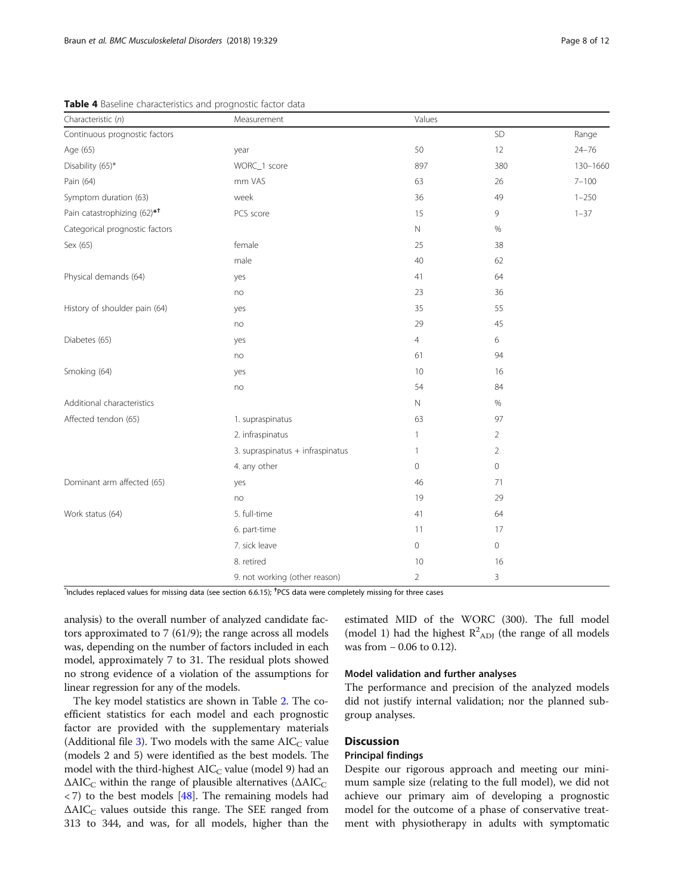| Characteristic (n)                      | Measurement                      | Values         |                |           |
|-----------------------------------------|----------------------------------|----------------|----------------|-----------|
| Continuous prognostic factors           |                                  |                | SD             | Range     |
| Age (65)                                | year                             | 50             | 12             | $24 - 76$ |
| Disability (65)*                        | WORC_1 score                     | 897            | 380            | 130-1660  |
| Pain (64)                               | mm VAS                           | 63             | 26             | $7 - 100$ |
| Symptom duration (63)                   | week                             | 36             | 49             | $1 - 250$ |
| Pain catastrophizing (62) <sup>*†</sup> | PCS score                        | 15             | 9              | $1 - 37$  |
| Categorical prognostic factors          |                                  | $\mathbb N$    | $\%$           |           |
| Sex (65)                                | female                           | 25             | 38             |           |
|                                         | male                             | 40             | 62             |           |
| Physical demands (64)                   | yes                              | 41             | 64             |           |
|                                         | no                               | 23             | 36             |           |
| History of shoulder pain (64)           | yes                              | 35             | 55             |           |
|                                         | no                               | 29             | 45             |           |
| Diabetes (65)                           | yes                              | 4              | 6              |           |
|                                         | no                               | 61             | 94             |           |
| Smoking (64)                            | yes                              | 10             | 16             |           |
|                                         | no                               | 54             | 84             |           |
| Additional characteristics              |                                  | $\mathbb N$    | $\%$           |           |
| Affected tendon (65)                    | 1. supraspinatus                 | 63             | 97             |           |
|                                         | 2. infraspinatus                 | 1              | $\overline{2}$ |           |
|                                         | 3. supraspinatus + infraspinatus | 1              | $\overline{2}$ |           |
|                                         | 4. any other                     | $\overline{0}$ | $\circ$        |           |
| Dominant arm affected (65)              | yes                              | 46             | 71             |           |
|                                         | no                               | 19             | 29             |           |
| Work status (64)                        | 5. full-time                     | 41             | 64             |           |
|                                         | 6. part-time                     | 11             | 17             |           |
|                                         | 7. sick leave                    | $\mathbf 0$    | $\circ$        |           |
|                                         | 8. retired                       | 10             | 16             |           |
|                                         | 9. not working (other reason)    | $\overline{2}$ | 3              |           |

<span id="page-7-0"></span>Table 4 Baseline characteristics and prognostic factor data

\* Includes replaced values for missing data (see section 6.6.15); † PCS data were completely missing for three cases

analysis) to the overall number of analyzed candidate factors approximated to 7 (61/9); the range across all models was, depending on the number of factors included in each model, approximately 7 to 31. The residual plots showed no strong evidence of a violation of the assumptions for linear regression for any of the models.

The key model statistics are shown in Table [2.](#page-4-0) The coefficient statistics for each model and each prognostic factor are provided with the supplementary materials (Additional file [3\)](#page-9-0). Two models with the same  $AIC_C$  value (models 2 and 5) were identified as the best models. The model with the third-highest  $AIC_C$  value (model 9) had an  $\Delta AIC_C$  within the range of plausible alternatives ( $\Delta AIC_C$  $\langle$  7) to the best models [\[48\]](#page-11-0). The remaining models had  $\Delta AIC_C$  values outside this range. The SEE ranged from 313 to 344, and was, for all models, higher than the

estimated MID of the WORC (300). The full model (model 1) had the highest  $R^2_{ADJ}$  (the range of all models was from − 0.06 to 0.12).

## Model validation and further analyses

The performance and precision of the analyzed models did not justify internal validation; nor the planned subgroup analyses.

## **Discussion**

## Principal findings

Despite our rigorous approach and meeting our minimum sample size (relating to the full model), we did not achieve our primary aim of developing a prognostic model for the outcome of a phase of conservative treatment with physiotherapy in adults with symptomatic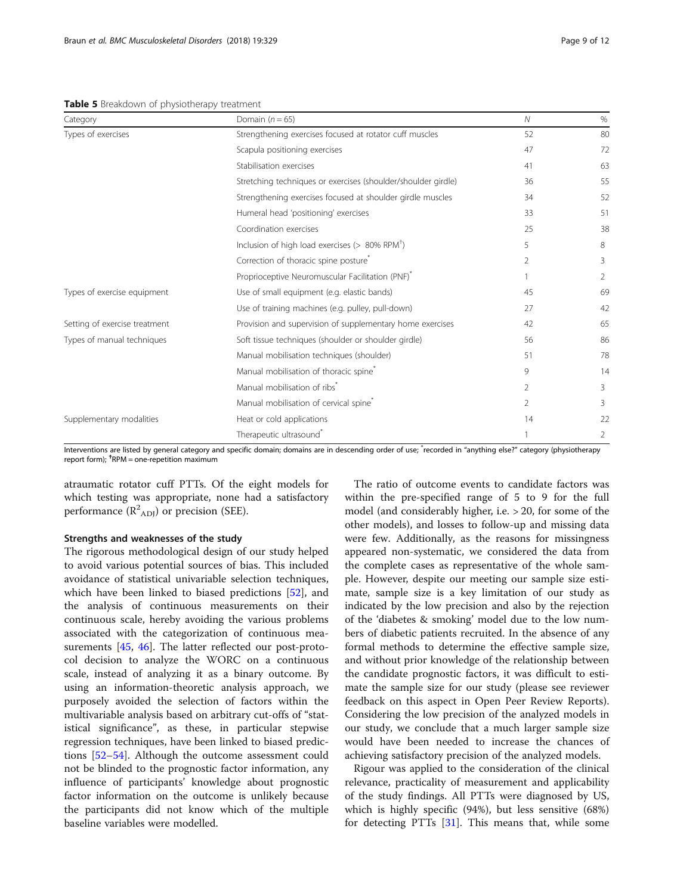<span id="page-8-0"></span>Table 5 Breakdown of physiotherapy treatment

| Category                                  | Domain $(n = 65)$                                              | $\mathcal N$ | %  |
|-------------------------------------------|----------------------------------------------------------------|--------------|----|
| Types of exercises                        | Strengthening exercises focused at rotator cuff muscles        | 52           | 80 |
|                                           | Scapula positioning exercises                                  | 47           | 72 |
|                                           | Stabilisation exercises                                        | 41           | 63 |
|                                           | Stretching techniques or exercises (shoulder/shoulder girdle)  | 36           | 55 |
|                                           | Strengthening exercises focused at shoulder girdle muscles     | 34           | 52 |
|                                           | Humeral head 'positioning' exercises                           | 33           | 51 |
|                                           | Coordination exercises                                         | 25           | 38 |
|                                           | Inclusion of high load exercises ( $> 80\%$ RPM <sup>+</sup> ) | 5            | 8  |
|                                           | Correction of thoracic spine posture <sup>®</sup>              | 2            | 3  |
|                                           | Proprioceptive Neuromuscular Facilitation (PNF)*               |              | 2  |
| Types of exercise equipment               | Use of small equipment (e.g. elastic bands)                    | 45           | 69 |
|                                           | Use of training machines (e.g. pulley, pull-down)              | 27           | 42 |
| Setting of exercise treatment             | Provision and supervision of supplementary home exercises      | 42           | 65 |
| Types of manual techniques                | Soft tissue techniques (shoulder or shoulder girdle)           | 56           | 86 |
| Manual mobilisation techniques (shoulder) | 51                                                             | 78           |    |
|                                           | Manual mobilisation of thoracic spine <sup>®</sup>             | 9            | 14 |
|                                           | Manual mobilisation of ribs <sup>*</sup>                       | 2            | 3  |
|                                           | Manual mobilisation of cervical spine <sup>*</sup>             | 2            | 3  |
| Supplementary modalities                  | Heat or cold applications                                      | 14           | 22 |
|                                           | Therapeutic ultrasound*                                        |              | 2  |

Interventions are listed by general category and specific domain; domains are in descending order of use; \* recorded in "anything else?" category (physiotherapy report form); † RPM = one-repetition maximum

atraumatic rotator cuff PTTs. Of the eight models for which testing was appropriate, none had a satisfactory performance  $(\mathrm{R}^2_{ADJ})$  or precision (SEE).

#### Strengths and weaknesses of the study

The rigorous methodological design of our study helped to avoid various potential sources of bias. This included avoidance of statistical univariable selection techniques, which have been linked to biased predictions [\[52\]](#page-11-0), and the analysis of continuous measurements on their continuous scale, hereby avoiding the various problems associated with the categorization of continuous measurements [\[45,](#page-11-0) [46\]](#page-11-0). The latter reflected our post-protocol decision to analyze the WORC on a continuous scale, instead of analyzing it as a binary outcome. By using an information-theoretic analysis approach, we purposely avoided the selection of factors within the multivariable analysis based on arbitrary cut-offs of "statistical significance", as these, in particular stepwise regression techniques, have been linked to biased predictions [\[52](#page-11-0)–[54\]](#page-11-0). Although the outcome assessment could not be blinded to the prognostic factor information, any influence of participants' knowledge about prognostic factor information on the outcome is unlikely because the participants did not know which of the multiple baseline variables were modelled.

The ratio of outcome events to candidate factors was within the pre-specified range of 5 to 9 for the full model (and considerably higher, i.e. > 20, for some of the other models), and losses to follow-up and missing data were few. Additionally, as the reasons for missingness appeared non-systematic, we considered the data from the complete cases as representative of the whole sample. However, despite our meeting our sample size estimate, sample size is a key limitation of our study as indicated by the low precision and also by the rejection of the 'diabetes & smoking' model due to the low numbers of diabetic patients recruited. In the absence of any formal methods to determine the effective sample size, and without prior knowledge of the relationship between the candidate prognostic factors, it was difficult to estimate the sample size for our study (please see reviewer feedback on this aspect in Open Peer Review Reports). Considering the low precision of the analyzed models in our study, we conclude that a much larger sample size would have been needed to increase the chances of achieving satisfactory precision of the analyzed models.

Rigour was applied to the consideration of the clinical relevance, practicality of measurement and applicability of the study findings. All PTTs were diagnosed by US, which is highly specific (94%), but less sensitive (68%) for detecting PTTs [\[31](#page-11-0)]. This means that, while some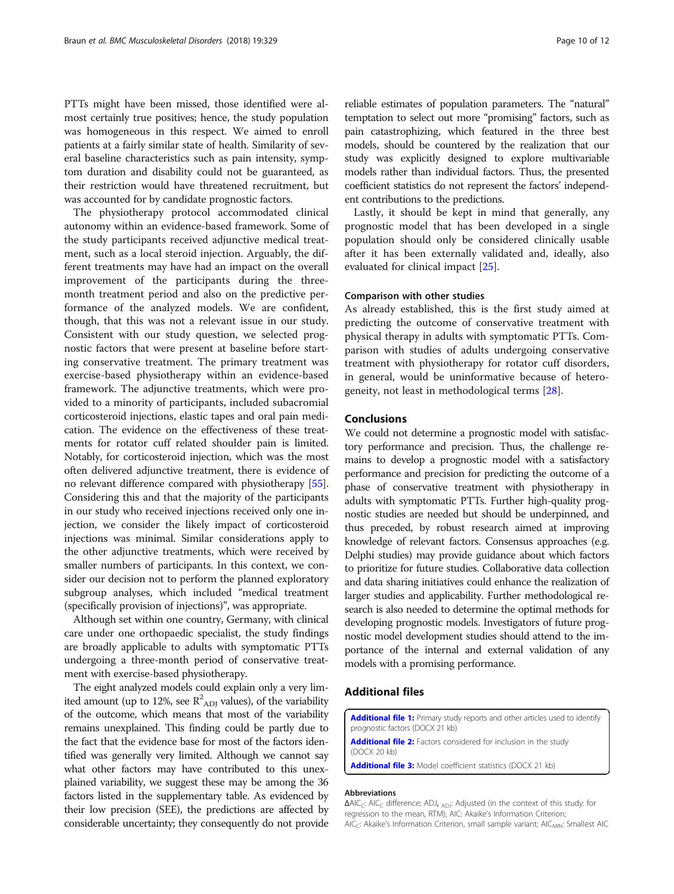<span id="page-9-0"></span>PTTs might have been missed, those identified were almost certainly true positives; hence, the study population was homogeneous in this respect. We aimed to enroll patients at a fairly similar state of health. Similarity of several baseline characteristics such as pain intensity, symptom duration and disability could not be guaranteed, as their restriction would have threatened recruitment, but was accounted for by candidate prognostic factors.

The physiotherapy protocol accommodated clinical autonomy within an evidence-based framework. Some of the study participants received adjunctive medical treatment, such as a local steroid injection. Arguably, the different treatments may have had an impact on the overall improvement of the participants during the threemonth treatment period and also on the predictive performance of the analyzed models. We are confident, though, that this was not a relevant issue in our study. Consistent with our study question, we selected prognostic factors that were present at baseline before starting conservative treatment. The primary treatment was exercise-based physiotherapy within an evidence-based framework. The adjunctive treatments, which were provided to a minority of participants, included subacromial corticosteroid injections, elastic tapes and oral pain medication. The evidence on the effectiveness of these treatments for rotator cuff related shoulder pain is limited. Notably, for corticosteroid injection, which was the most often delivered adjunctive treatment, there is evidence of no relevant difference compared with physiotherapy [[55](#page-11-0)]. Considering this and that the majority of the participants in our study who received injections received only one injection, we consider the likely impact of corticosteroid injections was minimal. Similar considerations apply to the other adjunctive treatments, which were received by smaller numbers of participants. In this context, we consider our decision not to perform the planned exploratory subgroup analyses, which included "medical treatment (specifically provision of injections)", was appropriate.

Although set within one country, Germany, with clinical care under one orthopaedic specialist, the study findings are broadly applicable to adults with symptomatic PTTs undergoing a three-month period of conservative treatment with exercise-based physiotherapy.

The eight analyzed models could explain only a very limited amount (up to 12%, see  $R^2$ <sub>ADJ</sub> values), of the variability of the outcome, which means that most of the variability remains unexplained. This finding could be partly due to the fact that the evidence base for most of the factors identified was generally very limited. Although we cannot say what other factors may have contributed to this unexplained variability, we suggest these may be among the 36 factors listed in the supplementary table. As evidenced by their low precision (SEE), the predictions are affected by considerable uncertainty; they consequently do not provide reliable estimates of population parameters. The "natural" temptation to select out more "promising" factors, such as pain catastrophizing, which featured in the three best models, should be countered by the realization that our study was explicitly designed to explore multivariable models rather than individual factors. Thus, the presented coefficient statistics do not represent the factors' independent contributions to the predictions.

Lastly, it should be kept in mind that generally, any prognostic model that has been developed in a single population should only be considered clinically usable after it has been externally validated and, ideally, also evaluated for clinical impact [[25](#page-11-0)].

## Comparison with other studies

As already established, this is the first study aimed at predicting the outcome of conservative treatment with physical therapy in adults with symptomatic PTTs. Comparison with studies of adults undergoing conservative treatment with physiotherapy for rotator cuff disorders, in general, would be uninformative because of heterogeneity, not least in methodological terms [[28\]](#page-11-0).

## Conclusions

We could not determine a prognostic model with satisfactory performance and precision. Thus, the challenge remains to develop a prognostic model with a satisfactory performance and precision for predicting the outcome of a phase of conservative treatment with physiotherapy in adults with symptomatic PTTs. Further high-quality prognostic studies are needed but should be underpinned, and thus preceded, by robust research aimed at improving knowledge of relevant factors. Consensus approaches (e.g. Delphi studies) may provide guidance about which factors to prioritize for future studies. Collaborative data collection and data sharing initiatives could enhance the realization of larger studies and applicability. Further methodological research is also needed to determine the optimal methods for developing prognostic models. Investigators of future prognostic model development studies should attend to the importance of the internal and external validation of any models with a promising performance.

## Additional files

[Additional file 1:](https://doi.org/10.1186/s12891-018-2239-8) Primary study reports and other articles used to identify prognostic factors (DOCX 21 kb)

[Additional file 2:](https://doi.org/10.1186/s12891-018-2239-8) Factors considered for inclusion in the study (DOCX 20 kb)

[Additional file 3:](https://doi.org/10.1186/s12891-018-2239-8) Model coefficient statistics (DOCX 21 kb)

#### Abbreviations

 $\Delta$ AIC<sub>C</sub>: AIC<sub>C</sub> difference; ADJ, <sub>ADJ</sub>: Adjusted (in the context of this study: for regression to the mean, RTM); AIC: Akaike's Information Criterion; AIC<sub>C</sub>: Akaike's Information Criterion, small sample variant; AIC<sub>MIN</sub>: Smallest AIC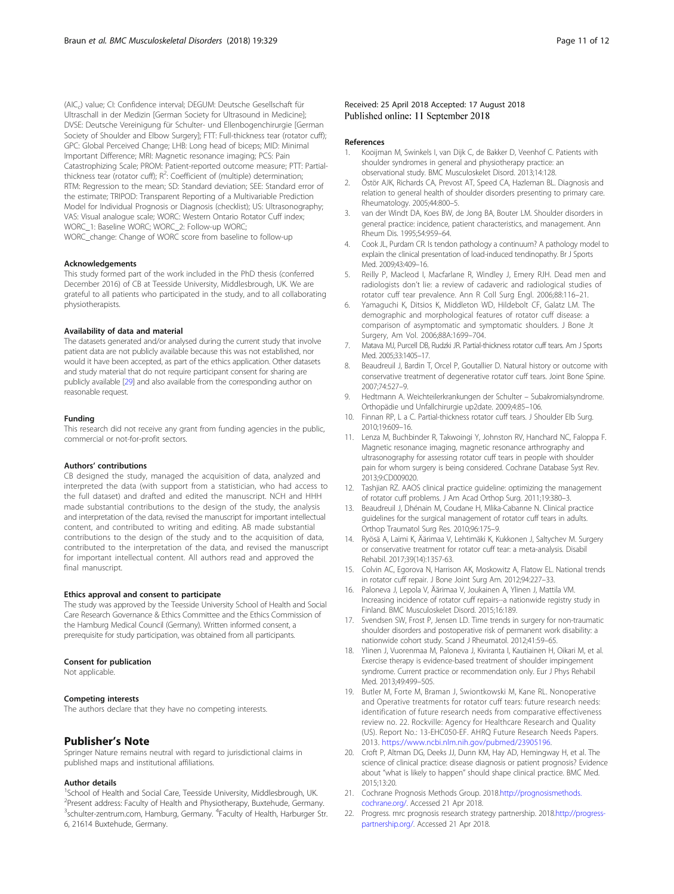<span id="page-10-0"></span>(AICc) value; CI: Confidence interval; DEGUM: Deutsche Gesellschaft für Ultraschall in der Medizin [German Society for Ultrasound in Medicine]; DVSE: Deutsche Vereinigung für Schulter- und Ellenbogenchirurgie [German Society of Shoulder and Elbow Surgery]; FTT: Full-thickness tear (rotator cuff); GPC: Global Perceived Change; LHB: Long head of biceps; MID: Minimal Important Difference; MRI: Magnetic resonance imaging; PCS: Pain Catastrophizing Scale; PROM: Patient-reported outcome measure; PTT: Partialthickness tear (rotator cuff);  $R^2$ : Coefficient of (multiple) determination; RTM: Regression to the mean; SD: Standard deviation; SEE: Standard error of the estimate; TRIPOD: Transparent Reporting of a Multivariable Prediction Model for Individual Prognosis or Diagnosis (checklist); US: Ultrasonography; VAS: Visual analogue scale; WORC: Western Ontario Rotator Cuff index; WORC\_1: Baseline WORC; WORC\_2: Follow-up WORC; WORC\_change: Change of WORC score from baseline to follow-up

#### Acknowledgements

This study formed part of the work included in the PhD thesis (conferred December 2016) of CB at Teesside University, Middlesbrough, UK. We are grateful to all patients who participated in the study, and to all collaborating physiotherapists.

#### Availability of data and material

The datasets generated and/or analysed during the current study that involve patient data are not publicly available because this was not established, nor would it have been accepted, as part of the ethics application. Other datasets and study material that do not require participant consent for sharing are publicly available [\[29](#page-11-0)] and also available from the corresponding author on reasonable request.

#### Funding

This research did not receive any grant from funding agencies in the public, commercial or not-for-profit sectors.

#### Authors' contributions

CB designed the study, managed the acquisition of data, analyzed and interpreted the data (with support from a statistician, who had access to the full dataset) and drafted and edited the manuscript. NCH and HHH made substantial contributions to the design of the study, the analysis and interpretation of the data, revised the manuscript for important intellectual content, and contributed to writing and editing. AB made substantial contributions to the design of the study and to the acquisition of data, contributed to the interpretation of the data, and revised the manuscript for important intellectual content. All authors read and approved the final manuscript.

#### Ethics approval and consent to participate

The study was approved by the Teesside University School of Health and Social Care Research Governance & Ethics Committee and the Ethics Commission of the Hamburg Medical Council (Germany). Written informed consent, a prerequisite for study participation, was obtained from all participants.

#### Consent for publication

Not applicable.

#### Competing interests

The authors declare that they have no competing interests.

#### Publisher's Note

Springer Nature remains neutral with regard to jurisdictional claims in published maps and institutional affiliations.

#### Author details

<sup>1</sup>School of Health and Social Care, Teesside University, Middlesbrough, UK. <sup>2</sup> Present address: Faculty of Health and Physiotherapy, Buxtehude, Germany. <sup>3</sup>schulter-zentrum.com, Hamburg, Germany. <sup>4</sup>Faculty of Health, Harburger Str. 6, 21614 Buxtehude, Germany.

#### Received: 25 April 2018 Accepted: 17 August 2018 Published online: 11 September 2018

#### References

- 1. Kooijman M, Swinkels I, van Dijk C, de Bakker D, Veenhof C. Patients with shoulder syndromes in general and physiotherapy practice: an observational study. BMC Musculoskelet Disord. 2013;14:128.
- Östör AJK, Richards CA, Prevost AT, Speed CA, Hazleman BL. Diagnosis and relation to general health of shoulder disorders presenting to primary care. Rheumatology. 2005;44:800–5.
- 3. van der Windt DA, Koes BW, de Jong BA, Bouter LM. Shoulder disorders in general practice: incidence, patient characteristics, and management. Ann Rheum Dis. 1995;54:959–64.
- 4. Cook JL, Purdam CR. Is tendon pathology a continuum? A pathology model to explain the clinical presentation of load-induced tendinopathy. Br J Sports Med. 2009;43:409–16.
- 5. Reilly P, Macleod I, Macfarlane R, Windley J, Emery RJH. Dead men and radiologists don't lie: a review of cadaveric and radiological studies of rotator cuff tear prevalence. Ann R Coll Surg Engl. 2006;88:116–21.
- 6. Yamaguchi K, Ditsios K, Middleton WD, Hildebolt CF, Galatz LM. The demographic and morphological features of rotator cuff disease: a comparison of asymptomatic and symptomatic shoulders. J Bone Jt Surgery, Am Vol. 2006;88A:1699–704.
- 7. Matava MJ, Purcell DB, Rudzki JR. Partial-thickness rotator cuff tears. Am J Sports Med. 2005;33:1405–17.
- 8. Beaudreuil J, Bardin T, Orcel P, Goutallier D. Natural history or outcome with conservative treatment of degenerative rotator cuff tears. Joint Bone Spine. 2007;74:527–9.
- 9. Hedtmann A. Weichteilerkrankungen der Schulter Subakromialsyndrome. Orthopädie und Unfallchirurgie up2date. 2009;4:85–106.
- 10. Finnan RP, L a C. Partial-thickness rotator cuff tears. J Shoulder Elb Surg. 2010;19:609–16.
- 11. Lenza M, Buchbinder R, Takwoingi Y, Johnston RV, Hanchard NC, Faloppa F. Magnetic resonance imaging, magnetic resonance arthrography and ultrasonography for assessing rotator cuff tears in people with shoulder pain for whom surgery is being considered. Cochrane Database Syst Rev. 2013;9:CD009020.
- 12. Tashjian RZ. AAOS clinical practice guideline: optimizing the management of rotator cuff problems. J Am Acad Orthop Surg. 2011;19:380–3.
- 13. Beaudreuil J, Dhénain M, Coudane H, Mlika-Cabanne N. Clinical practice guidelines for the surgical management of rotator cuff tears in adults. Orthop Traumatol Surg Res. 2010;96:175–9.
- 14. Ryösä A, Laimi K, Äärimaa V, Lehtimäki K, Kukkonen J, Saltychev M. Surgery or conservative treatment for rotator cuff tear: a meta-analysis. Disabil Rehabil. 2017;39(14):1357-63.
- 15. Colvin AC, Egorova N, Harrison AK, Moskowitz A, Flatow EL. National trends in rotator cuff repair. J Bone Joint Surg Am. 2012;94:227–33.
- 16. Paloneva J, Lepola V, Äärimaa V, Joukainen A, Ylinen J, Mattila VM. Increasing incidence of rotator cuff repairs--a nationwide registry study in Finland. BMC Musculoskelet Disord. 2015;16:189.
- 17. Svendsen SW, Frost P, Jensen LD. Time trends in surgery for non-traumatic shoulder disorders and postoperative risk of permanent work disability: a nationwide cohort study. Scand J Rheumatol. 2012;41:59–65.
- 18. Ylinen J, Vuorenmaa M, Paloneva J, Kiviranta I, Kautiainen H, Oikari M, et al. Exercise therapy is evidence-based treatment of shoulder impingement syndrome. Current practice or recommendation only. Eur J Phys Rehabil Med. 2013;49:499–505.
- 19. Butler M, Forte M, Braman J, Swiontkowski M, Kane RL. Nonoperative and Operative treatments for rotator cuff tears: future research needs: identification of future research needs from comparative effectiveness review no. 22. Rockville: Agency for Healthcare Research and Quality (US). Report No.: 13-EHC050-EF. AHRQ Future Research Needs Papers. 2013. [https://www.ncbi.nlm.nih.gov/pubmed/23905196.](https://www.ncbi.nlm.nih.gov/pubmed/23905196)
- 20. Croft P, Altman DG, Deeks JJ, Dunn KM, Hay AD, Hemingway H, et al. The science of clinical practice: disease diagnosis or patient prognosis? Evidence about "what is likely to happen" should shape clinical practice. BMC Med. 2015;13:20.
- 21. Cochrane Prognosis Methods Group. 2018.[http://prognosismethods.](http://prognosismethods.cochrane.org/) [cochrane.org/](http://prognosismethods.cochrane.org/). Accessed 21 Apr 2018.
- 22. Progress. mrc prognosis research strategy partnership. 2018.[http://progress](http://progress-partnership.org/)[partnership.org/](http://progress-partnership.org/). Accessed 21 Apr 2018.